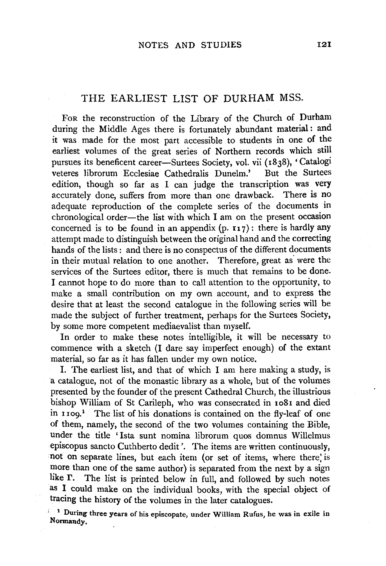### THE EARLIEST LIST OF DURHAM MSS.

FoR the reconstruction of the Library of the Church of Durham during the Middle Ages there is fortunately abundant material : and it was made for the most part accessible to students in one of the earliest volumes of the great series of Northern records which still pursues its beneficent career-Surtees Society, vol. vii (1838), 'Catalogi veteres librorum Ecclesiae Cathedralis Dunelm.' But the Surtees edition, though so far as I can judge the transcription was very accurately done, suffers from more than one drawback. There is no adequate reproduction of the complete series of the documents in chronological order-the list with which I am on the present occasion concerned is to be found in an appendix  $(p, r_1, r_2)$ : there is hardly any attempt made to distinguish between the original hand and the correcting hands of the lists: and there is no conspectus of the different documents in their mutual relation to one another. Therefore, great as were the services of the Surtees editor, there is much that remains to be done. I cannot hope to do more than to call attention to the opportunity, to make a small contribution on my own account, and to express the desire that at least the second catalogue in the following series will be made the subject of further treatment, perhaps for the Surtees Society, by some more competent mediaevalist than myself.

In order to make these notes intelligible, it will be necessary to commence with a sketch (I dare say imperfect enough) of the extant material, so far as it has fallen under my own notice.

I. The earliest list, and that of which I am here making a study, is a catalogue, not of the monastic library as a whole, but of the volumes presented by the founder of the present Cathedral Church, the illustrious bishop William of St Carileph, who was consecrated in 1081 and died in 1109.1 The list of his donations is contained on the fly-leaf of one of them, namely, the second of the two volumes containing the Bible, under the title 'Ista sunt nomina librorum quos domnus Willelmus episcopus sancto Cuthberto dedit'. The items are written continuously, not on separate lines, but each item (or set of items, where there; is more than one of the same author) is separated from the next by a sign like  $\Gamma$ . The list is printed below in full, and followed by such notes as I could make on the individual books, with the special object of tracing the history of the volumes in the later catalogues.

' 1 During three years of his episcopate, under WiJiiam Rufus, he was in exile in Normandy. .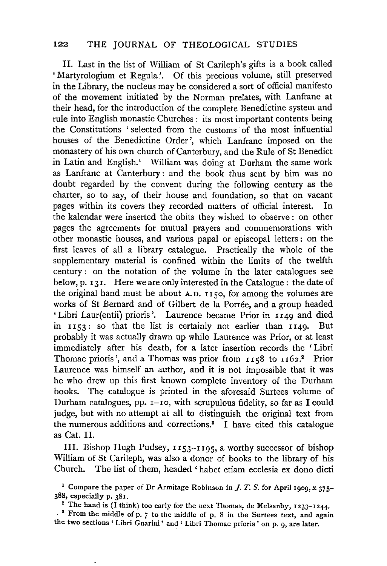II. Last in the list of William of St Carileph's gifts is a book called 'Martyrologium et Regula'. Of this precious volume, still preserved in the Library, the nucleus may be considered a sort of official manifesto of the movement initiated by the Norman prelates, with Lanfranc at their head, for the introduction of the complete Benedictine system and rule into English monastic Churches : its most important contents being the Constitutions ' selected from the customs of the most influential houses of the Benedictine Order', which Lanfranc imposed on the monastery of his own church of Canterbury, and the Rule of St Benedict in Latin and English.<sup>1</sup> William was doing at Durham the same work as Lanfranc at Canterbury : and the book thus sent by him was no doubt regarded by the convent during the following century as the charter, so to say, of their house and foundation, so that on vacant pages within its covers they recorded matters of official interest. the kalendar were inserted the obits they wished to observe : on other pages the agreements for mutual prayers and commemorations with other monastic houses, and various papal or episcopal letters : on the first leaves of all a library catalogue. Practically the whole of the supplementary material is confined within the limits of the twelfth century : on the notation of the volume in the later catalogues see below, p. 131. Here we are only interested in the Catalogue: the date of the original hand must be about  $A.D. I<sub>I</sub> <sub>5</sub>O$ , for among the volumes are works of St Bernard and of Gilbert de la Porree, and a group headed 'Libri Laur(entii) prioris '. Laurence became Prior in 1149 and died in 1153: so that the list is certainly not earlier than 1149. But probably it was actually drawn up while Laurence was Prior, or at least immediately after his death, for a later insertion records the ' Libri Thomae prioris', and a Thomas was prior from  $1158$  to  $1162$ .<sup>2</sup> Prior Laurence was himself an author, and it is not impossible that it was he who drew up this first known complete inventory of the Durham books. The catalogue is printed in the aforesaid Surtees volume of Durham catalogues, pp. r-ro, with scrupulous fidelity, so far as I could judge, but with no attempt at all to distinguish the original text from the numerous additions and corrections.3 I have cited this catalogue as Cat. II.

III. Bishop Hugh Pudsey, 1153-1195, a worthy successor of bishop William of St Carileph, was also a donor of books to the library of his Church. The list of them, headed ' habet etiam ecclesia ex dono dicti

<sup>1</sup> Compare the paper of Dr Armitage Robinson in *J. T. S.* for April 1909, x 375-388, especially p. 381.

<sup>2</sup> The hand is (I think) too early for the next Thomas, de Melsanby, 1233-1244. **3** From the middle of p. *7* to the middle of p. 8 in the Surtees text, and again

the two sections ' Libri Guarini' and ' Libri Thomae prioris' on p. 9, are later.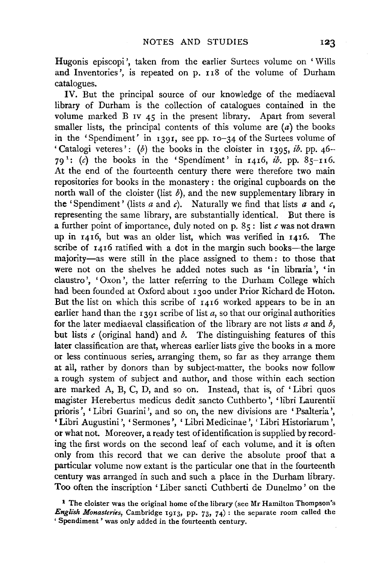Hugonis episcopi', taken from the earlier Surtees volume on 'Wills and Inventories', is repeated on p. 118 of the volume of Durham catalogues.

IV. But the principal source of our knowledge of the mediaeval library of Durham is the collection of catalogues contained in the volume marked B IV 45 in the present library. Apart from several smaller lists, the principal contents of this volume are  $(a)$  the books in the 'Spendiment' in I391, see pp. I0-34 of the Surtees volume of 'Catalogi veteres': (b) the books in the cloister in 1395,  $ib$ . pp. 46-79<sup> $1$ </sup>: (c) the books in the 'Spendiment' in 1416, *ib*, pp. 85-116. At the end of the fourteenth century there were therefore two main repositories for books in the monastery : the original cupboards on the north wall of the cloister (list  $\delta$ ), and the new supplementary library in the 'Spendiment' (lists  $a$  and  $c$ ). Naturally we find that lists  $a$  and  $c$ , representing the same library, are substantially identical. But there is a further point of importance, duly noted on p.  $85$ : list  $c$  was not drawn up in 1416, but was an older list, which was verified in 1416. The scribe of  $1416$  ratified with a dot in the margin such books-the large majority-as were still in the place assigned to them: to those that were not on the shelves he added notes such as 'in libraria', 'in claustro', 'Oxon', the latter referring to the Durham College which had been founded at Oxford about 1300 under Prior Richard de Hoton. But the list on which this scribe of 1416 worked appears to be in an earlier hand than the  $r_{39}r_{15}$  scribe of list  $a$ , so that our original authorities for the later mediaeval classification of the library are not lists *a* and *b,*  but lists  $c$  (original hand) and  $\delta$ . The distinguishing features of this later classification are that, whereas earlier lists give the books in a more or less continuous series, arranging them, so far as they arrange them at all, rather by donors than by subject-matter, the books now follow a rough system of subject and author, and those within each section are marked A, B, C, D, and so on. Instead, that is, of ' Libri quos magister Herebertus medicus dedit sancto Cuthberto ', 'libri Laurentii prioris', 'Libri Guarini', and so on, the new divisions are 'Psalteria', 'Libri Augustini ', 'Sermones ', 'Libri Medicinae ', 'Libri Historiarum ', or what not. Moreover, a ready test of identification is supplied by recording the first words on the second leaf of each volume, and it is often only from this record that we can derive the absolute proof that a particular volume now extant is the particular one that in the fourteenth century was arranged in such and such a place in the Durham library. Too often the inscription 'Liber sancti Cuthberti de Dunelmo' on the

<sup>1</sup> The cloister was the original home of the library (see Mr Hamilton Thompson's *English Monasteries*, Cambridge 1913, pp. 73, 74) : the separate room called the ' Spendiment ' was only added in the fourteenth century.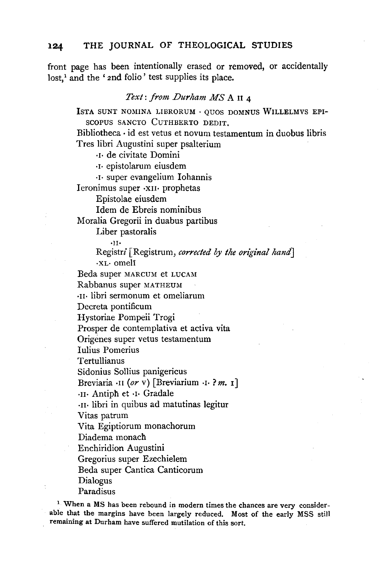front page has been intentionally erased or removed, or accidentally lost,<sup>1</sup> and the ' 2nd folio' test supplies its place.

#### *Text: from Durham MS* A It 4

JSTA SUNT NOMINA LIBRORUM · QUOS DOMNUS WILLELMVS EPI-SCOPUS SANCTO CUTHBERTO DEDIT.

Bibliotheca · id est vetus et novum testamentum in duobus libris Tres libri Augustini super psalterium

·I· de civitate Domini

·I· epistolarum eiusdem

·I· super evangelium lohannis

Ieronimus super ·XII· prophetas

Epistolae eiusdem

Idem de Ebreis nominibus

Moralia Gregorii in duabus partibus

Liber pastoralis

•I!·

Registri [Registrum, *corrected by the original hand]*  ·XL· omeli

Beda super MARCUM et LUCAM

Rabbanus super MATHEUM

·11· libri sermonum et omeliarum

Decreta pontificum

Hystoriae Pompeii Trogi

Prosper de contemplativa et activa vita

Origenes super vetus testamentum

Iulius Pomerius

Tertullianus

Sidonius Sollius panigericus

Breviaria ·II *(or* v) [Breviarium ·I· ? *m.* **1]** 

·11· Antiph et ·I· Gradale

·11· libri in quibus ad matutinas legitur

Vitas patrum

Vita Egiptiorum monachorum

Diadema monach

Enchiridion Augustini

Gregorius super Ezechielem

Beda super Cantica Canticorum

Dialogus

Paradisus

<sup>1</sup> When a MS has been rebound in modern times the chances are very considerable that the margins have been largely reduced. Most of the early MSS still remaining at Durham have suffered mutilation of this sort.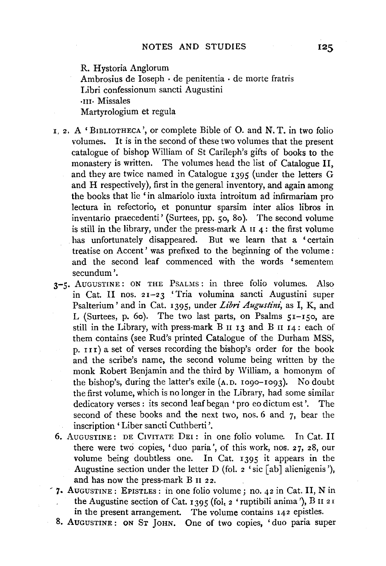R. Hystoria Anglorum Ambrosius de Ioseph · de penitentia · de morte fratris Libri confessionum sancti Augustini ·III· Missales Martyrologium et regula

- $I, 2$ . A 'BIBLIOTHECA', or complete Bible of O. and N.T. in two folio volumes. It is in the second of these two volumes that the present catalogue of bishop William of St Carileph's gifts of books to the monastery is written. The volumes head the list of Catalogue II, and they are twice named in Catalogue I395 (under the letters G and H respectively), first in the general inventory, and again among the books that lie 'in almariolo iuxta introitum ad infirmariam pro lectura in refectorio, et ponuntur sparsim inter alios libros in inventario praecedenti' (Surtees, pp. so, 8o ). The second volume is still in the library, under the press-mark A  $\text{II } 4$ : the first volume has unfortunately disappeared. But we learn that a 'certain treatise on Accent ' was prefixed to the beginning of the volume : and the second leaf commenced with the words 'sementem secundum'.
- 3-5. AUGUSTINE: ON THE PSALMS: in three folio volumes. Also in Cat. II nos. 21-23 'Tria volumina sancti Augustini super Psalterium' and in Cat. I395, under *Libri Augustini,* as I, K, and L (Surtees, p. 60). The two last parts, on Psalms  $51-150$ , are still in the Library, with press-mark B  $\text{II}$  I3 and B  $\text{II}$  I4: each of them contains (see Rud's printed Catalogue of the Durham MSS,  $p.$  III) a set of verses recording the bishop's order for the book and the scribe's name, the second volume being written by the monk Robert Benjamin and the third by William, a homonym of the bishop's, during the latter's exile  $(A, D, I090-I093)$ . No doubt the first volume, which is no longer in the Library, had some similar dedicatory verses : its second leaf began 'pro eo dictum est'. The second of these books and the next two, nos. 6 and 7, bear the inscription' Liber sancti Cuthberti '.
- 6. AuGUSTINE: DE CIVITATE DEI : in one folio volume. In Cat. II there were two copies, 'duo paria', of this work, nos. 27, 28, our volume being doubtless one. In Cat. I395 it appears in the Augustine section under the letter D (fol.  $2$  'sic [ab] alienigenis'), and has now the press-mark B II 22.
- **'1·** AUGUSTINE: EPISTLEs: in one folio volume; no. 42 in Cat. II, N in the Augustine section of Cat. 1395 (fol,  $2$  'ruptibili anima'), B II 21 in the present arrangement. The volume contains 142 epistles.
	- 8. AUGUSTINE: ON ST JoHN. One of two copies, 'duo paria super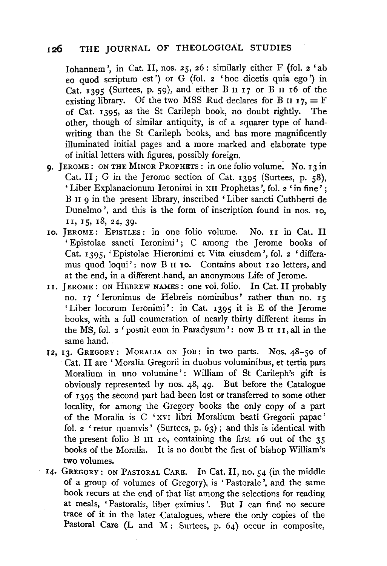Iohannem', in Cat. II, nos. 25, 26: similarly either F (fol.  $2 \text{ 'ab}$ ) eo quod scriptum est') or G (fol. 2 'hoc dicetis quia ego') in Cat. 1395 (Surtees, p. 59), and either B  $II$   $I$ 7 or B  $II$   $I$ 6 of the existing library. Of the two MSS Rud declares for B  $\mu$  17, = F of Cat. 1395, as the St Carileph book, no doubt rightly. The other, though of similar antiquity, is of a squarer type of handwriting than the St Carileph books, and has more magnificently illuminated initial pages and a more marked and elaborate type of initial letters with figures, possibly foreign.

- **9.** JEROME: ON THE MINOR PROPHETS: in one folio volume. No. 13 in Cat. II ; G in the Jerome section of Cat. 1395 (Surtees, p. 58), ' Liber Explanacionum Ieronimi in XII Prophetas ', fol. 2 ' in fine' ; B n 9 in the present library, inscribed 'Liber sancti Cuthberti de Dunelmo', and this is the form of inscription found in nos. 10, II, I5, I8, 24, 39.
- IO. JEROME: EPISTLES: in one folio volume. No. II in Cat. II 'Epistolae sancti Ieronimi'; C among the Jerome books of Cat. I395, 'Epistolae Hieronimi et Vita eiusdem ', fol. 2 'differamus quod loqui': now B II 10. Contains about 120 letters, and at the end, in a different hand, an anonymous Life of Jerome.
- II. JEROME: ON HEBREW NAMES: one vol. folio. In Cat. II probably no. 17 'Ieronimus de Hebreis nominibus' rather than no. 15 'Liber locorum Ieronimi': in Cat. I395 it is E of the Jerome books, with a full enumeration of nearly thirty different items in the MS, fol.  $2$  'posuit eum in Paradysum': now B II II, all in the same hand.
- 12, I3. GREGORY: MoRALIA oN JoB: in two parts. Nos. 48-so of Cat. II are ' Moralia Gregorii in duobus voluminibus, et tertia pars Moralium in uno volumine': William of St Carileph's gift is obviously represented by nos. 48, 49· But before the Catalogue of I395 the second part had been lost or transferred to some other locality, for among the Gregory books the only copy of a part of the Moralia is C 'xvr libri Moralium beati Gregorii papae' fol. 2 'retur quamvis' (Surtees, p. 63); and this is identical with the present folio B  $\overline{111}$  Io, containing the first 16 out of the 35 books of the Moralia. It is no doubt the first of bishop William's two volumes.
- I4. GREGORY: ON PASTORAL CARE. In Cat. II, no. 54 (in the middle of a group of volumes of Gregory), is 'Pastorale', and the same book recurs at the end of that list among the selections for reading at meals, 'Pastoralis, liber eximius '. But I can find no secure trace of it in the later Catalogues, where the only copies of the Pastoral Care (L and M: Surtees, p. 64) occur in composite,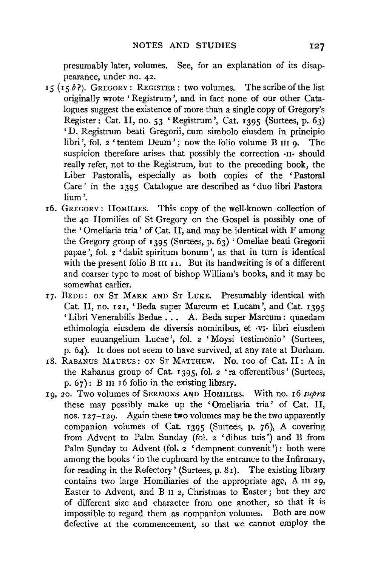presumably later, volumes. See, for an explanation of its disappearance, under no. 42.

- 15 (15b?). GREGORY: REGISTER: two volumes. The scribe of the list originally wrote 'Registrum ', and in fact none of our other Catalogues suggest the existence of more than a single copy of Gregory's Register: Cat. II, no. 53 'Registrum ', Cat. 1395 (Surtees, p. 63) 'D. Registrum beati Gregorii, cum simbolo eiusdem in principio libri', fol.  $2$  'tentem Deum'; now the folio volume B  $\overline{H}$  in  $\overline{Q}$ . suspicion therefore arises that possibly the correction  $\cdot$ II· should really refer, not to the Registrum, but to the preceding book, the Liber Pastoralis, especially as both copies of the 'Pastoral Care' in the 1395 Catalogue are described as 'duo libri Pastora lium'.
- 16. GREGORY : HoMILIES. This copy of the well-known collection of the 40 Homilies of St Gregory on the Gospel is possibly one of the 'Omeliaria tria' of Cat. If, and may be identical with F among the Gregory group of 1395 (Surtees, p. 63) 'Omeliae beati Gregorii papae ', fol. 2 'dabit spiritum bonum', as that in turn is identical with the present folio B III **11**. But its handwriting is of a different and coarser type to most of bishop William's books, and it may be somewhat earlier.
- 17. BEDE: ON ST MARK AND ST LUKE. Presumably identical with Cat. II, no. 121, 'Beda super Marcum et Lucam', and Cat. 1395 'Libri Venerabilis Bedae . . • A. Beda super Marcum: quaedam ethimologia eiusdem de diversis nominibus, et •VI· libri eiusdem super euuangelium Lucae', fol. 2 'Moysi testimonio' (Surtees, p. 64). It does not seem to have survived, at any rate at Durham.
- r8. RABANUS MAURUS: ON ST MATTHEW. No. roo of Cat. II: A in the Rabanus group of Cat. 1395, fol. 2 'ra offerentibus' (Surtees, p.  $67$ : B III 16 folio in the existing library.
- 19, 20. Two volumes of SERMONS AND HOMILIES. With no. 16 *supra*  these may possibly make up the 'Omeliaria tria' of Cat. II, nos. 127-129. Again these two volumes may be the two apparently companion volumes of Cat. 1395 (Surtees, p. 76), A covering from Advent to Palm Sunday (fol. 2 'dibus tuis') and B from Palm Sunday to Advent (fol. 2 'dempnent convenit'): both were among the books 'in the cupboard by the entrance to the Infirmary, for reading in the Refectory' (Surtees, p. 81). The existing library contains two large Homiliaries of the appropriate age, A III 29, Easter to Advent, and B u 2, Christmas to Easter; but they are of different size and character from one another, so that it is impossible to regard them as companion volumes. Both are now defective at the commencement, so that we cannot employ the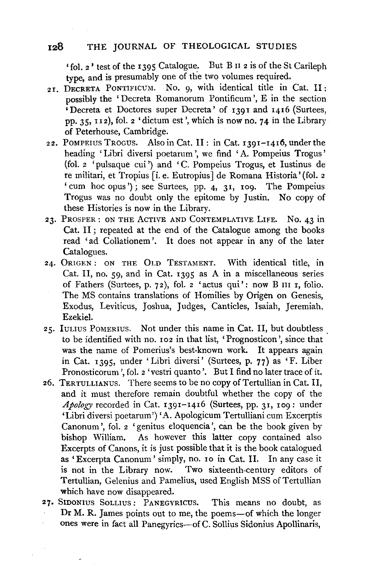'fol. 2' test of the 1395 Catalogue. But B n 2 is of the St Carileph type, and is presumably one of the two volumes required.

- 21. DECRETA PONTIFICUM. No. 9, with identical title in Cat. II: possibly the 'Decreta Romanorum Pontificum ', E in the section 'Decreta et Doctores super Decreta' of 1391 and 1416 (Surtees, pp. 35, 1 12), fol. 2 'dictum est', which is now no. 74 in the Library of Peterhouse, Cambridge.
- 22. POMPEIUS TROGUS. Also in Cat. II: in Cat. I391-1416, under the heading 'Libri diversi poetarum ', we find 'A. Pompeius Trogus' (fol. 2 'pulsaque cui') and 'C. Pompeius Trogus, et Iustinus de re militari, et Tropius [i. e. Eutropius] de Romana Historia' (fol. 2 ' cum hoc opus'); see Surtees, pp. 4, 31, 109. The Pompeius Trogus was no doubt only the epitome by Justin. No copy of these Histories is now in the Library.
- 23. PROSPER: ON THE AcTIVE AND CoNTEMPLATIVE LIFE. No. 43 in Cat. II ; repeated at the end of the Catalogue among the books read 'ad Collationem '. It does not appear in any of the later Catalogues.
- 24. 0RIGEN: ON THE OLD TESTAMENT. With identical title, in Cat. II, no. 59, and in Cat. 1395 as A in a miscellaneous series of Fathers (Surtees, p. 72), fol. 2 'actus qui': now B III r, folio. The MS contains translations of Homilies by Origen on Genesis, Exodus, Leviticus, Joshua, Judges, Canticles, Isaiah, Jeremiah, Ezekiel.
- 25. luLius PoMERIUS. Not under this name in Cat. 11, but doubtless to be identified with no. 102 in that list, 'Prognosticon ', since that was the name of Pomerius's best-known work. It appears again in Cat. 1395, under 'Libri diversi' (Surtees, p. 77) as 'F. Liber Pronosticorum ', fol. 2 'vestri quanto '. But I find no later trace of it.
- 26. TERTULLIANUS. There seems to be no copy of Tertullian in Cat. II, and it must therefore remain doubtful whether the copy of the *Apology* recorded in Cat. 1391-I4I6 (Surtees, pp. 31, 109: under 'Libri diversi poetarum') 'A. Apologicum Tertulliani cum Excerptis Canonum ', fol. 2 'genitus eloquencia ', can be the book given by bishop William. As however this latter copy contained also Excerpts of Canons, it is just possible that it is the book catalogued as 'Excerpta Canonum' simply, no. ro in Cat. 11. In any case it is not in the Library now. Two sixteenth-century editors of Tertullian, Gelenius and Pamelius, used English MSS of Tertullian which have now disappeared.
- 27, SIDONIUS SoLLIUS: PANEGYRICUS. This means no doubt, as Dr M. R. James points out to me, the poems-of which the longer ones were in fact all Panegyrics-of C. Sollius Sidonius Apollinaris,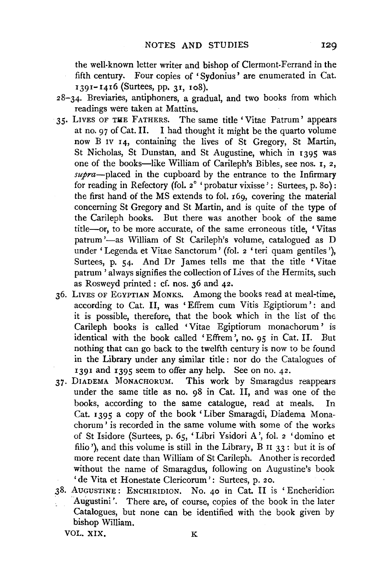the well-known letter writer and bishop of Clermont-Ferrand in the fifth century. Four copies of 'Sydonius' are enumerated in Cat. I391-1416 (Surtees, pp. 31, xo8).

- 28-34. Breviaries, antiphoners, a gradual, and two books from which readings were taken at Mattins.
- 35. LIVES OF THE FATHERS. The same title 'Vitae Patrum' appears at no. 97 of Cat. II. I had thought it might be the quarto volume now B IV 14, containing the lives of St Gregory, St Martin, St Nicholas, St Dunstan, and St Augustine, which in 1395 was one of the books-like William of Carileph's Bibles, see nos. 1, 2, *supra-placed* in the cupboard by the entrance to the Infirmary for reading in Refectory (fol.  $2^\circ$  ' probatur vixisse': Surtees, p. 80): the first hand of the MS extends to fol. 169, covering the material concerning St Gregory and St Martin, and is quite of the type of the Carileph books. But there was another book of the same title-or, to be more accurate, of the same erroneous title, 'Vitas patrum '-as William of St Carileph's volume, catalogued as D under 'Legenda et Vitae Sanctorum' (fol. 2 'teri quam gentiles'), Surtees, p. 54. And Dr James tells me that the title 'Vitae patrum ' always signifies the collection of Lives of the Hermits, such as Rosweyd printed : cf. nos. 36 and 42.
- 36. LIVES OF EGYPTIAN MoNKS. Among the books read at meal-time, according to Cat. II, was 'Effrem cum Vitis Egiptiorum': and it is possible, therefore, that the book which in the list of the Carileph books is called 'Vitae Egiptiorum monachorum ' is identical with the book called 'Effrem', no. 05 in Cat. II. But nothing that can go back to the twelfth century is now to be found in the Library under any similar title : nor do the Catalogues of 1391 and 1395 seem to offer any help. See on no. 42.
- 37· DIADEMA MoNACHORUM. This work by Smaragdus reappears under the same title as no. 98 in Cat. 11, and was one of the books, according to the same catalogue, read at meals. In Cat. 1395 a copy of the book' Liber Smaragdi, Diadema Monachorum ' is recorded in the same volume with some of the works of St Isidore (Surtees, p. 65, 'Libri Ysidori A', fol. 2 'domino et filio '), and this volume is still in the Library, B 11 33: but it is of more recent date than William of St Carileph. Another is recorded without the name of Smaragdus, following on Augustine's book 'de Vita et Honestate Clericorum': Surtees, p. 20.
- 38. AUGUSTINE: ENCHIRIDION. No. 40 in Cat. 11 is 'Encheridion Augustini'. There are, of course, copies of the book in the later Catalogues, but none can be identified with the book given by bishop William.

VOL. XIX. K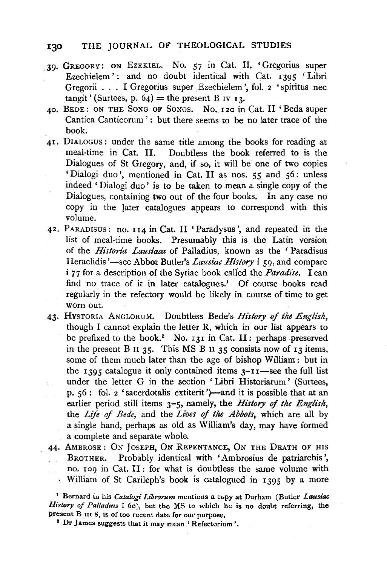- . 39· GREGORY: ON EZEKIEL. No. 57 in Cat. Il, 'Gregorius super Ezechielem': and no doubt identical with Cat. 1395 'Libri Gregorii . . . I Gregorius super Ezechielem ', fol. 2 'spiritus nee tangit' (Surtees, p.  $64$ ) = the present B IV 13.
- 40. BEDE: ON THE SONG OF SoNGS. No. 120 in Cat. Il 'Beda super Cantica Canticorum': but there seems to be no later trace of the book.
- 41. DIALOGUS: under the same title among the books for reading at meal-time in Cat. II. Doubtless the book referred to is the Dialogues of St Gregory, and, if so, it will be one of two copies 'Dialogi duo', mentioned in Cat. II as nos. 55 and 56: unless indeed ' Dialogi duo ' is to be taken to mean a single copy of the Dialogues, containing two out of the four books. In any case no copy in the Jater catalogues appears to Correspond with this volume.
- 42. PARADisus: no. 114 in Cat. II 'Paradysus ', and repeated in the list of meal-time books. Presumably this is the Latin version of the *Historia Lausiaca* of Palladius, known as the 'Paradisus' Heraclidis'—see Abbot Butler's *Lausiac History i* 59, and compare i 7 7 for a description of the Syriac book called the *Paradise.* I can find no trace of it in later catalogues.<sup>1</sup> Of course books read regularly in the refectory would be likely in course of time to get worn out.
- 43· HvsTORIA ANGLORUM. Doubtless Bede's *History of the English,*  though I cannot explain the letter R, which in our list appears to be prefixed to the book.<sup>2</sup> No. 131 in Cat. II: perhaps preserved in the present B  $\overline{11}$  35. This MS B  $\overline{11}$  35 consists now of  $\overline{13}$  items, some of them much later than the age of bishop William: but in the 1395 catalogue it only contained items  $3 - 11$  see the full list under the letter G in the section 'Libri Historiarum' (Surtees, p. 56: fol. 2 'sacerdotalis extiterit')—and it is possible that at an earlier period still items 3-5, namely, the *History* of *the English,*  the *Life of Bede,* and the *Lives of the Abbots,* which are all by a single hand, perhaps as old as William's day, may have formed a. complete and separate whole.
- 44· AMBROSE: ON JosEPH, ON REPENTANCE, ON THE DEATH OF HIS BROTHER. Probably identical with 'Ambrosius de patriarchis ', no. rog in Cat. II : for what is doubtless the same volume with William of St Carileph's book is catalogued in 1395 by a more

<sup>1</sup> Bernard in his *Catalogi Librorum* mentions a copy at Durham (Butler Lausiac *History of Palladius* i 6o), but the MS to which he is no doubt referring, the present B III 8, is of too recent date for our purpose.<br><sup>2</sup> Dr James suggests that it may mean 'Refectorium'.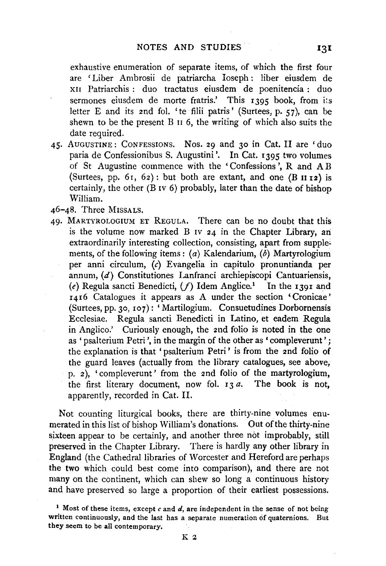exhaustive enumeration of separate items, of which the first four are 'Liber Ambrosii de patriarcha Ioseph : liber eiusdem de xn Patriarchis : duo tractatus eiusdem de poenitencia : duo sermones eiusdem de morte fratris.' This  $1395$  book, from its letter E and its 2nd fol. 'te filii patris' (Surtees, p. 57), can be shewn to be the present B  $\overline{11}$  6, the writing of which also suits the date required.

- 45· AUGUSTINE: CoNFESSIONS. Nos. 29 and 30 in Cat. II are 'duo paria de Confessionibus S. Augustini '. In Cat. 1395 two volumes of St Augustine commence with the 'Confessions ', R and AB (Surtees, pp. 61, 62): but both are extant, and one (B  $\text{II}$  12) is certainly, the other  $(B IV 6)$  probably, later than the date of bishop William.
- 46-48. Three MISSALS.
- 49· MARTYROLOGIUM ET REGULA. There can be no doubt that this is the volume now marked B IV 24 in the Chapter Library, an extraordinarily interesting collection, consisting, apart from supplements, of the following items: (a) Kalendarium, (b) Martyrologium per anni circulum, (c) Evangelia in capitulo pronuntianda per annum, (d) Constitutiones Lanfranci archiepiscopi Cantuariensis, (e) Regula sancti Benedicti,  $(f)$  Idem Anglice.<sup>1</sup> In the 1391 and 1416 Catalogues it appears as A under the section 'Cronicae' (Surtees, pp. 30, 107): 'Martilogium. Consuetudines Dorbornensis Ecclesiae. Regula sancti Benedicti in Latino, et eadem Regula in Anglico.' Curiously enough, the 2nd folio is noted in the one as 'psalterium Petri', in the margin of the other as 'compleverunt'; the explanation is that ' psalterium Petri ' is from the 2nd folio of the guard leaves (actually from the library catalogues, see above, p.  $2$ ), 'compleverunt' from the 2nd folio of the martyrologium, the first literary document, now fol.  $r_3 a$ . The book is not, apparently, recorded in Cat. II.

Not counting liturgical books, there are thirty-nine volumes enumerated in this list of bishop William's donations. Out of the thirty-nine sixteen appear to be certainly, and another three not improbably, still preserved in the Chapter Library. There is hardly any other library in England (the Cathedral libraries of Worcester and Hereford are perhaps the two which could best come into comparison), and tbere are not many on the continent, which can sbew so long a continuous history and have preserved so large a proportion of their earliest possessions.

<sup>&</sup>lt;sup>1</sup> Most of these items, except  $c$  and  $d$ , are independent in the sense of not being written continuously, and the last has a separate numeration of quaternions. But they seem to be all contemporary.